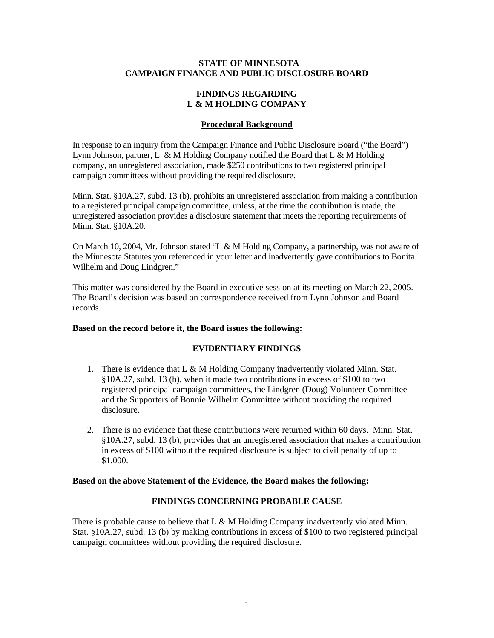### **STATE OF MINNESOTA CAMPAIGN FINANCE AND PUBLIC DISCLOSURE BOARD**

### **FINDINGS REGARDING L & M HOLDING COMPANY**

# **Procedural Background**

In response to an inquiry from the Campaign Finance and Public Disclosure Board ("the Board") Lynn Johnson, partner, L & M Holding Company notified the Board that L & M Holding company, an unregistered association, made \$250 contributions to two registered principal campaign committees without providing the required disclosure.

Minn. Stat. §10A.27, subd. 13 (b), prohibits an unregistered association from making a contribution to a registered principal campaign committee, unless, at the time the contribution is made, the unregistered association provides a disclosure statement that meets the reporting requirements of Minn. Stat. §10A.20.

On March 10, 2004, Mr. Johnson stated "L & M Holding Company, a partnership, was not aware of the Minnesota Statutes you referenced in your letter and inadvertently gave contributions to Bonita Wilhelm and Doug Lindgren."

This matter was considered by the Board in executive session at its meeting on March 22, 2005. The Board's decision was based on correspondence received from Lynn Johnson and Board records.

## **Based on the record before it, the Board issues the following:**

## **EVIDENTIARY FINDINGS**

- 1. There is evidence that L & M Holding Company inadvertently violated Minn. Stat. §10A.27, subd. 13 (b), when it made two contributions in excess of \$100 to two registered principal campaign committees, the Lindgren (Doug) Volunteer Committee and the Supporters of Bonnie Wilhelm Committee without providing the required disclosure.
- 2. There is no evidence that these contributions were returned within 60 days. Minn. Stat. §10A.27, subd. 13 (b), provides that an unregistered association that makes a contribution in excess of \$100 without the required disclosure is subject to civil penalty of up to \$1,000.

#### **Based on the above Statement of the Evidence, the Board makes the following:**

### **FINDINGS CONCERNING PROBABLE CAUSE**

There is probable cause to believe that  $L \& M$  Holding Company inadvertently violated Minn. Stat. §10A.27, subd. 13 (b) by making contributions in excess of \$100 to two registered principal campaign committees without providing the required disclosure.